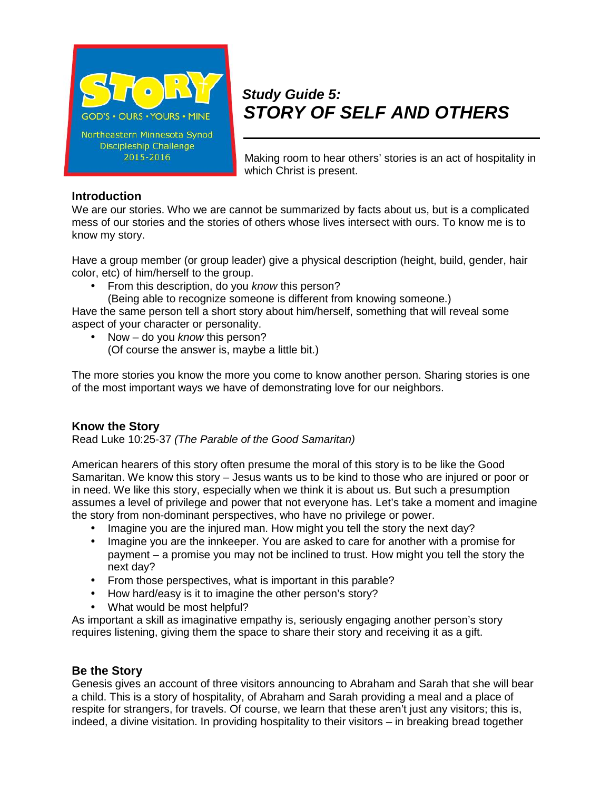

# *Study Guide 5: STORY OF SELF AND OTHERS*

Making room to hear others' stories is an act of hospitality in which Christ is present.

#### **Introduction**

We are our stories. Who we are cannot be summarized by facts about us, but is a complicated mess of our stories and the stories of others whose lives intersect with ours. To know me is to know my story.

Have a group member (or group leader) give a physical description (height, build, gender, hair color, etc) of him/herself to the group.

- From this description, do you *know* this person?
	- (Being able to recognize someone is different from knowing someone.)

Have the same person tell a short story about him/herself, something that will reveal some aspect of your character or personality.

 Now – do you *know* this person? (Of course the answer is, maybe a little bit.)

The more stories you know the more you come to know another person. Sharing stories is one of the most important ways we have of demonstrating love for our neighbors.

## **Know the Story**

Read Luke 10:25-37 *(The Parable of the Good Samaritan)*

American hearers of this story often presume the moral of this story is to be like the Good Samaritan. We know this story – Jesus wants us to be kind to those who are injured or poor or in need. We like this story, especially when we think it is about us. But such a presumption assumes a level of privilege and power that not everyone has. Let's take a moment and imagine the story from non-dominant perspectives, who have no privilege or power.

- Imagine you are the injured man. How might you tell the story the next day?
- Imagine you are the innkeeper. You are asked to care for another with a promise for payment – a promise you may not be inclined to trust. How might you tell the story the next day?
- From those perspectives, what is important in this parable?
- How hard/easy is it to imagine the other person's story?
- What would be most helpful?

As important a skill as imaginative empathy is, seriously engaging another person's story requires listening, giving them the space to share their story and receiving it as a gift.

## **Be the Story**

Genesis gives an account of three visitors announcing to Abraham and Sarah that she will bear a child. This is a story of hospitality, of Abraham and Sarah providing a meal and a place of respite for strangers, for travels. Of course, we learn that these aren't just any visitors; this is, indeed, a divine visitation. In providing hospitality to their visitors – in breaking bread together